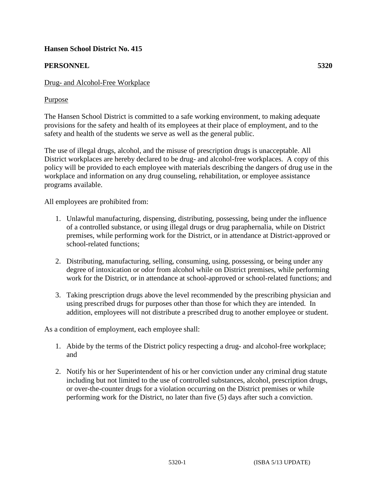# **Hansen School District No. 415**

# **PERSONNEL 5320**

## Drug- and Alcohol-Free Workplace

## Purpose

The Hansen School District is committed to a safe working environment, to making adequate provisions for the safety and health of its employees at their place of employment, and to the safety and health of the students we serve as well as the general public.

The use of illegal drugs, alcohol, and the misuse of prescription drugs is unacceptable. All District workplaces are hereby declared to be drug- and alcohol-free workplaces. A copy of this policy will be provided to each employee with materials describing the dangers of drug use in the workplace and information on any drug counseling, rehabilitation, or employee assistance programs available.

All employees are prohibited from:

- 1. Unlawful manufacturing, dispensing, distributing, possessing, being under the influence of a controlled substance, or using illegal drugs or drug paraphernalia, while on District premises, while performing work for the District, or in attendance at District-approved or school-related functions;
- 2. Distributing, manufacturing, selling, consuming, using, possessing, or being under any degree of intoxication or odor from alcohol while on District premises, while performing work for the District, or in attendance at school-approved or school-related functions; and
- 3. Taking prescription drugs above the level recommended by the prescribing physician and using prescribed drugs for purposes other than those for which they are intended. In addition, employees will not distribute a prescribed drug to another employee or student.

As a condition of employment, each employee shall:

- 1. Abide by the terms of the District policy respecting a drug- and alcohol-free workplace; and
- 2. Notify his or her Superintendent of his or her conviction under any criminal drug statute including but not limited to the use of controlled substances, alcohol, prescription drugs, or over-the-counter drugs for a violation occurring on the District premises or while performing work for the District, no later than five (5) days after such a conviction.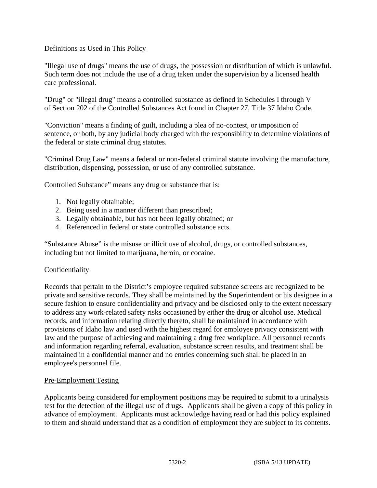## Definitions as Used in This Policy

"Illegal use of drugs" means the use of drugs, the possession or distribution of which is unlawful. Such term does not include the use of a drug taken under the supervision by a licensed health care professional.

"Drug" or "illegal drug" means a controlled substance as defined in Schedules I through V of Section 202 of the Controlled Substances Act found in Chapter 27, Title 37 Idaho Code.

"Conviction" means a finding of guilt, including a plea of no-contest, or imposition of sentence, or both, by any judicial body charged with the responsibility to determine violations of the federal or state criminal drug statutes.

"Criminal Drug Law" means a federal or non-federal criminal statute involving the manufacture, distribution, dispensing, possession, or use of any controlled substance.

Controlled Substance" means any drug or substance that is:

- 1. Not legally obtainable;
- 2. Being used in a manner different than prescribed;
- 3. Legally obtainable, but has not been legally obtained; or
- 4. Referenced in federal or state controlled substance acts.

"Substance Abuse" is the misuse or illicit use of alcohol, drugs, or controlled substances, including but not limited to marijuana, heroin, or cocaine.

#### **Confidentiality**

Records that pertain to the District's employee required substance screens are recognized to be private and sensitive records. They shall be maintained by the Superintendent or his designee in a secure fashion to ensure confidentiality and privacy and be disclosed only to the extent necessary to address any work-related safety risks occasioned by either the drug or alcohol use. Medical records, and information relating directly thereto, shall be maintained in accordance with provisions of Idaho law and used with the highest regard for employee privacy consistent with law and the purpose of achieving and maintaining a drug free workplace. All personnel records and information regarding referral, evaluation, substance screen results, and treatment shall be maintained in a confidential manner and no entries concerning such shall be placed in an employee's personnel file.

#### Pre-Employment Testing

Applicants being considered for employment positions may be required to submit to a urinalysis test for the detection of the illegal use of drugs. Applicants shall be given a copy of this policy in advance of employment. Applicants must acknowledge having read or had this policy explained to them and should understand that as a condition of employment they are subject to its contents.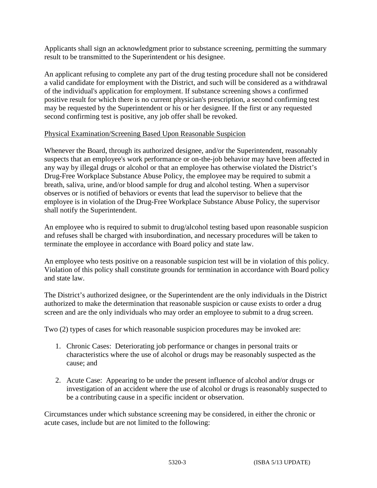Applicants shall sign an acknowledgment prior to substance screening, permitting the summary result to be transmitted to the Superintendent or his designee.

An applicant refusing to complete any part of the drug testing procedure shall not be considered a valid candidate for employment with the District, and such will be considered as a withdrawal of the individual's application for employment. If substance screening shows a confirmed positive result for which there is no current physician's prescription, a second confirming test may be requested by the Superintendent or his or her designee. If the first or any requested second confirming test is positive, any job offer shall be revoked.

## Physical Examination/Screening Based Upon Reasonable Suspicion

Whenever the Board, through its authorized designee, and/or the Superintendent, reasonably suspects that an employee's work performance or on-the-job behavior may have been affected in any way by illegal drugs or alcohol or that an employee has otherwise violated the District's Drug-Free Workplace Substance Abuse Policy, the employee may be required to submit a breath, saliva, urine, and/or blood sample for drug and alcohol testing. When a supervisor observes or is notified of behaviors or events that lead the supervisor to believe that the employee is in violation of the Drug-Free Workplace Substance Abuse Policy, the supervisor shall notify the Superintendent.

An employee who is required to submit to drug/alcohol testing based upon reasonable suspicion and refuses shall be charged with insubordination, and necessary procedures will be taken to terminate the employee in accordance with Board policy and state law.

An employee who tests positive on a reasonable suspicion test will be in violation of this policy. Violation of this policy shall constitute grounds for termination in accordance with Board policy and state law.

The District's authorized designee, or the Superintendent are the only individuals in the District authorized to make the determination that reasonable suspicion or cause exists to order a drug screen and are the only individuals who may order an employee to submit to a drug screen.

Two (2) types of cases for which reasonable suspicion procedures may be invoked are:

- 1. Chronic Cases: Deteriorating job performance or changes in personal traits or characteristics where the use of alcohol or drugs may be reasonably suspected as the cause; and
- 2. Acute Case: Appearing to be under the present influence of alcohol and/or drugs or investigation of an accident where the use of alcohol or drugs is reasonably suspected to be a contributing cause in a specific incident or observation.

Circumstances under which substance screening may be considered, in either the chronic or acute cases, include but are not limited to the following: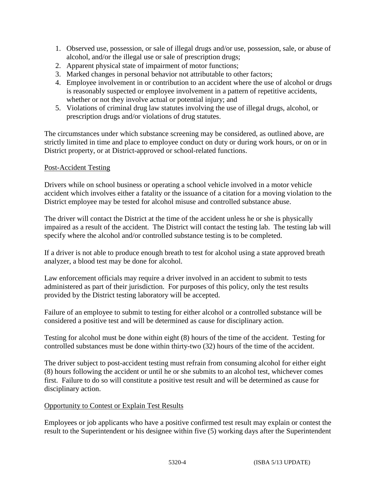- 1. Observed use, possession, or sale of illegal drugs and/or use, possession, sale, or abuse of alcohol, and/or the illegal use or sale of prescription drugs;
- 2. Apparent physical state of impairment of motor functions;
- 3. Marked changes in personal behavior not attributable to other factors;
- 4. Employee involvement in or contribution to an accident where the use of alcohol or drugs is reasonably suspected or employee involvement in a pattern of repetitive accidents, whether or not they involve actual or potential injury; and
- 5. Violations of criminal drug law statutes involving the use of illegal drugs, alcohol, or prescription drugs and/or violations of drug statutes.

The circumstances under which substance screening may be considered, as outlined above, are strictly limited in time and place to employee conduct on duty or during work hours, or on or in District property, or at District-approved or school-related functions.

## Post-Accident Testing

Drivers while on school business or operating a school vehicle involved in a motor vehicle accident which involves either a fatality or the issuance of a citation for a moving violation to the District employee may be tested for alcohol misuse and controlled substance abuse.

The driver will contact the District at the time of the accident unless he or she is physically impaired as a result of the accident. The District will contact the testing lab. The testing lab will specify where the alcohol and/or controlled substance testing is to be completed.

If a driver is not able to produce enough breath to test for alcohol using a state approved breath analyzer, a blood test may be done for alcohol.

Law enforcement officials may require a driver involved in an accident to submit to tests administered as part of their jurisdiction. For purposes of this policy, only the test results provided by the District testing laboratory will be accepted.

Failure of an employee to submit to testing for either alcohol or a controlled substance will be considered a positive test and will be determined as cause for disciplinary action.

Testing for alcohol must be done within eight (8) hours of the time of the accident. Testing for controlled substances must be done within thirty-two (32) hours of the time of the accident.

The driver subject to post-accident testing must refrain from consuming alcohol for either eight (8) hours following the accident or until he or she submits to an alcohol test, whichever comes first. Failure to do so will constitute a positive test result and will be determined as cause for disciplinary action.

#### Opportunity to Contest or Explain Test Results

Employees or job applicants who have a positive confirmed test result may explain or contest the result to the Superintendent or his designee within five (5) working days after the Superintendent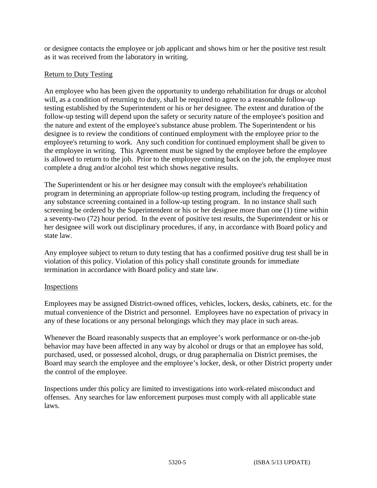or designee contacts the employee or job applicant and shows him or her the positive test result as it was received from the laboratory in writing.

## Return to Duty Testing

An employee who has been given the opportunity to undergo rehabilitation for drugs or alcohol will, as a condition of returning to duty, shall be required to agree to a reasonable follow-up testing established by the Superintendent or his or her designee. The extent and duration of the follow-up testing will depend upon the safety or security nature of the employee's position and the nature and extent of the employee's substance abuse problem. The Superintendent or his designee is to review the conditions of continued employment with the employee prior to the employee's returning to work. Any such condition for continued employment shall be given to the employee in writing. This Agreement must be signed by the employee before the employee is allowed to return to the job. Prior to the employee coming back on the job, the employee must complete a drug and/or alcohol test which shows negative results.

The Superintendent or his or her designee may consult with the employee's rehabilitation program in determining an appropriate follow-up testing program, including the frequency of any substance screening contained in a follow-up testing program. In no instance shall such screening be ordered by the Superintendent or his or her designee more than one (1) time within a seventy-two (72) hour period. In the event of positive test results, the Superintendent or his or her designee will work out disciplinary procedures, if any, in accordance with Board policy and state law.

Any employee subject to return to duty testing that has a confirmed positive drug test shall be in violation of this policy. Violation of this policy shall constitute grounds for immediate termination in accordance with Board policy and state law.

#### **Inspections**

Employees may be assigned District-owned offices, vehicles, lockers, desks, cabinets, etc. for the mutual convenience of the District and personnel. Employees have no expectation of privacy in any of these locations or any personal belongings which they may place in such areas.

Whenever the Board reasonably suspects that an employee's work performance or on-the-job behavior may have been affected in any way by alcohol or drugs or that an employee has sold, purchased, used, or possessed alcohol, drugs, or drug paraphernalia on District premises, the Board may search the employee and the employee's locker, desk, or other District property under the control of the employee.

Inspections under this policy are limited to investigations into work-related misconduct and offenses. Any searches for law enforcement purposes must comply with all applicable state laws.